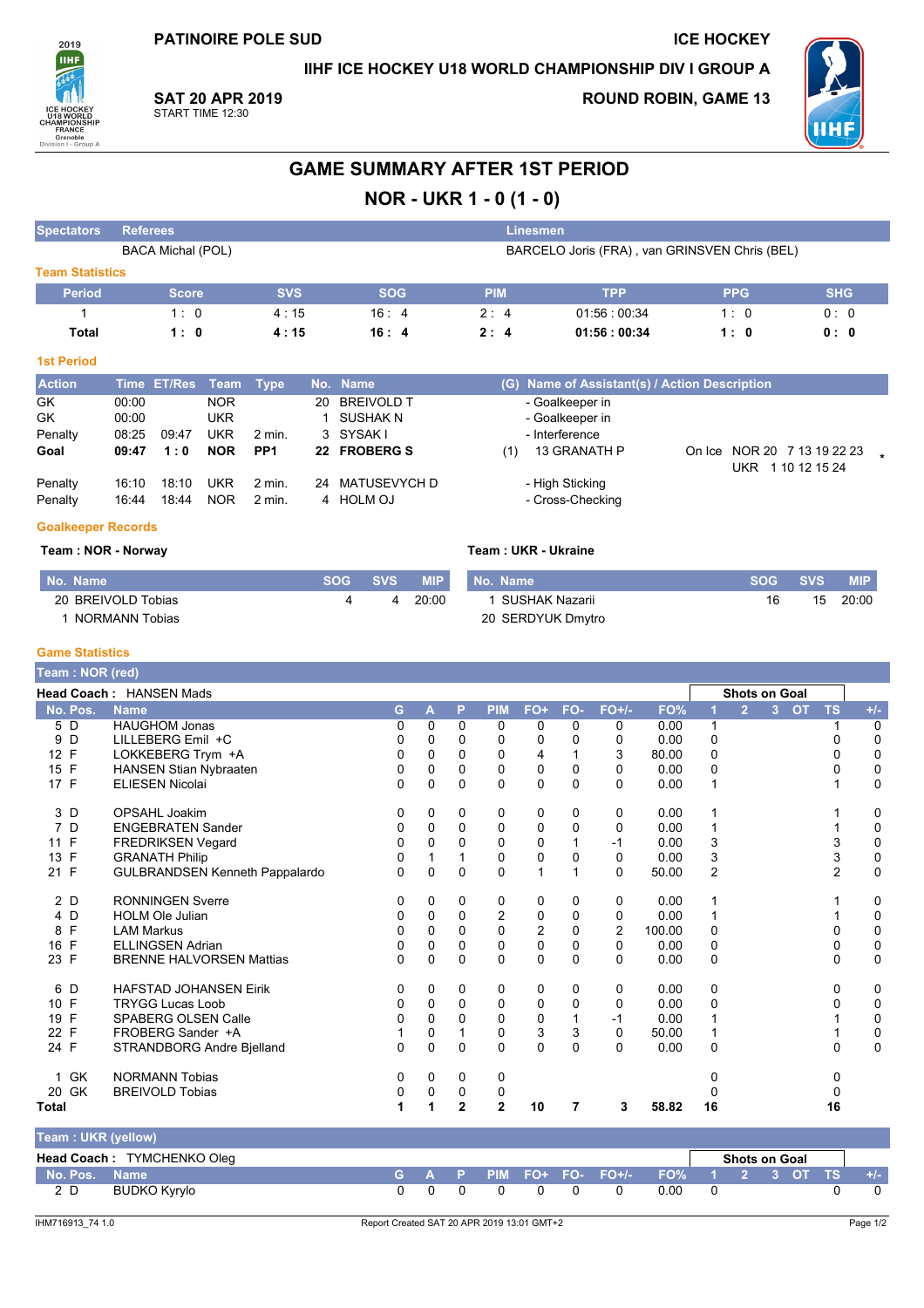**PATINOIRE POLE SUD** 

IIHF ICE HOCKEY U18 WORLD CHAMPIONSHIP DIV I GROUP A

**ICE HOCKEY** 



**SAT 20 APR 2019** START TIME 12:30

**ROUND ROBIN, GAME 13** 



## **GAME SUMMARY AFTER 1ST PERIOD**

# NOR - UKR 1 - 0 (1 - 0)

| <b>Spectators</b>      | <b>Referees</b>         |                          |                                 |                      |    |                                                  |            |            |     | <u>'Linesmen,</u>                                    |        |            |                                           |  |
|------------------------|-------------------------|--------------------------|---------------------------------|----------------------|----|--------------------------------------------------|------------|------------|-----|------------------------------------------------------|--------|------------|-------------------------------------------|--|
|                        |                         | <b>BACA Michal (POL)</b> |                                 |                      |    |                                                  |            |            |     | BARCELO Joris (FRA), van GRINSVEN Chris (BEL)        |        |            |                                           |  |
| <b>Team Statistics</b> |                         |                          |                                 |                      |    |                                                  |            |            |     |                                                      |        |            |                                           |  |
| <b>Period</b>          |                         | <b>Score</b>             |                                 | <b>SVS</b>           |    |                                                  | <b>SOG</b> | <b>PIM</b> |     | <b>TPP</b>                                           |        | <b>PPG</b> | <b>SHG</b>                                |  |
|                        |                         | 1:0                      |                                 | 4:15                 |    | 16:4                                             |            | 2:4        |     | 01:56:00:34                                          |        | 1:0        | 0:0                                       |  |
| Total                  |                         | 1:0                      |                                 | 4:15                 |    | 16:4                                             |            | 2:4        |     | 01:56:00:34                                          |        | 1:0        | 0: 0                                      |  |
| <b>1st Period</b>      |                         |                          |                                 |                      |    |                                                  |            |            |     |                                                      |        |            |                                           |  |
| <b>Action</b>          |                         | Time ET/Res              | Team                            | Type                 |    | No. Name                                         |            |            |     | (G) Name of Assistant(s) / Action Description        |        |            |                                           |  |
| GK<br>GK<br>Penalty    | 00:00<br>00:00<br>08.25 | 09:47                    | <b>NOR</b><br>UKR<br><b>UKR</b> | $2$ min.             | 20 | <b>BREIVOLD T</b><br><b>SUSHAK N</b><br>3 SYSAKI |            |            |     | - Goalkeeper in<br>- Goalkeeper in<br>- Interference |        |            |                                           |  |
| Goal                   | 09:47                   | 1:0                      | <b>NOR</b>                      | PP <sub>1</sub>      |    | 22 FROBERG S                                     |            |            | (1) | 13 GRANATH P                                         | On Ice |            | NOR 20 7 13 19 22 23<br>UKR 1 10 12 15 24 |  |
| Penalty<br>Penalty     | 16:10<br>16:44          | 18:10<br>18:44           | <b>UKR</b><br><b>NOR</b>        | $2$ min.<br>$2$ min. | 24 | <b>MATUSEVYCH D</b><br>4 HOLM OJ                 |            |            |     | - High Sticking<br>- Cross-Checking                  |        |            |                                           |  |

#### **Goalkeeper Records**

#### Team: NOR - Norway

|                    | SOG SVS |   | <b>MIP</b> | No. Name         | SOG SVS |    | <b>MIP</b> |
|--------------------|---------|---|------------|------------------|---------|----|------------|
| <b>VOLD Tobias</b> |         | 4 | 20:00      | 1 SUSHAK Nazarii |         | 15 | 20:00      |

Team: UKR - Ukraine

| No. Name           | SOG 4 | <b>SVS</b> | <b>MIP</b> | No. Name          | <b>SOG</b> |  |
|--------------------|-------|------------|------------|-------------------|------------|--|
| 20 BREIVOLD Tobias |       |            | 20:00      | SUSHAK Nazarii    | 16         |  |
| NORMANN Tobias     |       |            |            | 20 SERDYUK Dmytro |            |  |

#### **Game Statistics**

| Team: NOR (red) |                                       |              |             |                |                |              |              |             |        |                |                      |                |           |                |             |
|-----------------|---------------------------------------|--------------|-------------|----------------|----------------|--------------|--------------|-------------|--------|----------------|----------------------|----------------|-----------|----------------|-------------|
|                 | <b>Head Coach: HANSEN Mads</b>        |              |             |                |                |              |              |             |        |                | <b>Shots on Goal</b> |                |           |                |             |
| No. Pos.        | <b>Name</b>                           | G.           | A           | P              | <b>PIM</b>     | FO+          | FO-          | $FO+/-$     | FO%    |                | $\overline{2}$       | 3 <sup>1</sup> | <b>OT</b> | <b>TS</b>      | $+/-$       |
| 5 D             | <b>HAUGHOM Jonas</b>                  | 0            | $\Omega$    | $\Omega$       | $\Omega$       | 0            | 0            | 0           | 0.00   | $\mathbf 1$    |                      |                |           |                | $\mathbf 0$ |
| D<br>9          | LILLEBERG Emil +C                     | 0            | 0           | 0              | 0              | 0            | <sup>0</sup> | 0           | 0.00   | $\Omega$       |                      |                |           | 0              | 0           |
| 12 F            | LOKKEBERG Trym +A                     | 0            | 0           | 0              | 0              | 4            |              | 3           | 80.00  | $\mathbf 0$    |                      |                |           | 0              | 0           |
| 15 F            | HANSEN Stian Nybraaten                | 0            | $\Omega$    | $\Omega$       | $\Omega$       | 0            | $\Omega$     | $\Omega$    | 0.00   | $\Omega$       |                      |                |           | 0              | $\mathbf 0$ |
| 17 F            | <b>ELIESEN Nicolai</b>                | 0            | 0           | $\Omega$       | $\Omega$       | $\Omega$     | 0            | 0           | 0.00   |                |                      |                |           |                | $\mathbf 0$ |
| 3 D             | OPSAHL Joakim                         | 0            | 0           | 0              | 0              | 0            | 0            | 0           | 0.00   |                |                      |                |           |                | 0           |
| 7<br>D          | <b>ENGEBRATEN Sander</b>              | 0            | 0           | 0              | 0              | 0            | 0            | 0           | 0.00   |                |                      |                |           |                | 0           |
| 11 F            | <b>FREDRIKSEN Vegard</b>              | 0            | 0           | 0              | $\Omega$       | 0            |              | $-1$        | 0.00   | 3              |                      |                |           | 3              | 0           |
| 13 F            | <b>GRANATH Philip</b>                 | 0            |             |                | $\Omega$       | 0            | 0            | $\Omega$    | 0.00   | 3              |                      |                |           | 3              | $\pmb{0}$   |
| 21 F            | <b>GULBRANDSEN Kenneth Pappalardo</b> | 0            | $\mathbf 0$ | $\mathbf 0$    | $\mathbf 0$    | $\mathbf{1}$ |              | 0           | 50.00  | $\overline{2}$ |                      |                |           | $\overline{2}$ | $\mathbf 0$ |
| 2 D             | <b>RONNINGEN Sverre</b>               | 0            | 0           | 0              | 0              | 0            | $\Omega$     | 0           | 0.00   |                |                      |                |           |                | 0           |
| 4 D             | <b>HOLM Ole Julian</b>                | 0            | 0           | $\mathbf 0$    | $\overline{2}$ | 0            | 0            | 0           | 0.00   |                |                      |                |           |                | 0           |
| F<br>8          | <b>LAM Markus</b>                     | 0            | $\Omega$    | $\Omega$       | $\Omega$       | 2            | $\Omega$     | 2           | 100.00 | $\Omega$       |                      |                |           | $\Omega$       | $\pmb{0}$   |
| F<br>16         | <b>ELLINGSEN Adrian</b>               | 0            | 0           | $\Omega$       | $\mathbf 0$    | 0            | 0            | $\mathbf 0$ | 0.00   | $\mathbf 0$    |                      |                |           | 0              | $\pmb{0}$   |
| 23 F            | <b>BRENNE HALVORSEN Mattias</b>       | 0            | 0           | $\Omega$       | $\Omega$       | $\Omega$     | $\Omega$     | 0           | 0.00   | $\Omega$       |                      |                |           | $\Omega$       | $\mathbf 0$ |
| 6<br>D          | <b>HAFSTAD JOHANSEN Eirik</b>         | 0            | 0           | 0              | 0              | 0            | 0            | 0           | 0.00   | 0              |                      |                |           | 0              | 0           |
| 10 F            | <b>TRYGG Lucas Loob</b>               | 0            | 0           | $\Omega$       | $\Omega$       | 0            | $\Omega$     | 0           | 0.00   | $\Omega$       |                      |                |           | 0              | 0           |
| F<br>19         | <b>SPABERG OLSEN Calle</b>            | 0            | $\Omega$    | $\Omega$       | 0              | 0            |              | $-1$        | 0.00   |                |                      |                |           |                | 0           |
| 22 F            | FROBERG Sander +A                     |              | 0           |                | 0              | 3            | 3            | 0           | 50.00  |                |                      |                |           |                | $\pmb{0}$   |
| 24 F            | STRANDBORG Andre Bjelland             | <sup>0</sup> | $\Omega$    | $\Omega$       | $\Omega$       | $\Omega$     | $\Omega$     | $\Omega$    | 0.00   | $\Omega$       |                      |                |           | $\Omega$       | $\Omega$    |
| 1 GK            | <b>NORMANN Tobias</b>                 | 0            | 0           | 0              | 0              |              |              |             |        | 0              |                      |                |           | 0              |             |
| 20 GK           | <b>BREIVOLD Tobias</b>                | 0            | 0           | 0              | 0              |              |              |             |        | U              |                      |                |           | 0              |             |
| Total           |                                       |              |             | $\overline{2}$ | $\overline{2}$ | 10           | 7            | 3           | 58.82  | 16             |                      |                |           | 16             |             |

| Team: UKR (yellow) |                            |     |  |          |                                         |      |                      |  |       |
|--------------------|----------------------------|-----|--|----------|-----------------------------------------|------|----------------------|--|-------|
|                    | Head Coach: TYMCHENKO Oleg |     |  |          |                                         |      | <b>Shots on Goal</b> |  |       |
| No. Pos. Name      |                            |     |  |          | G A P PIM FO+ FO- FO+/- FO% 1 2 3 OT TS |      |                      |  | $+/-$ |
| 2 D                | BUDKO Kyrylo               | 0 O |  | $\Omega$ |                                         | 0.00 |                      |  |       |